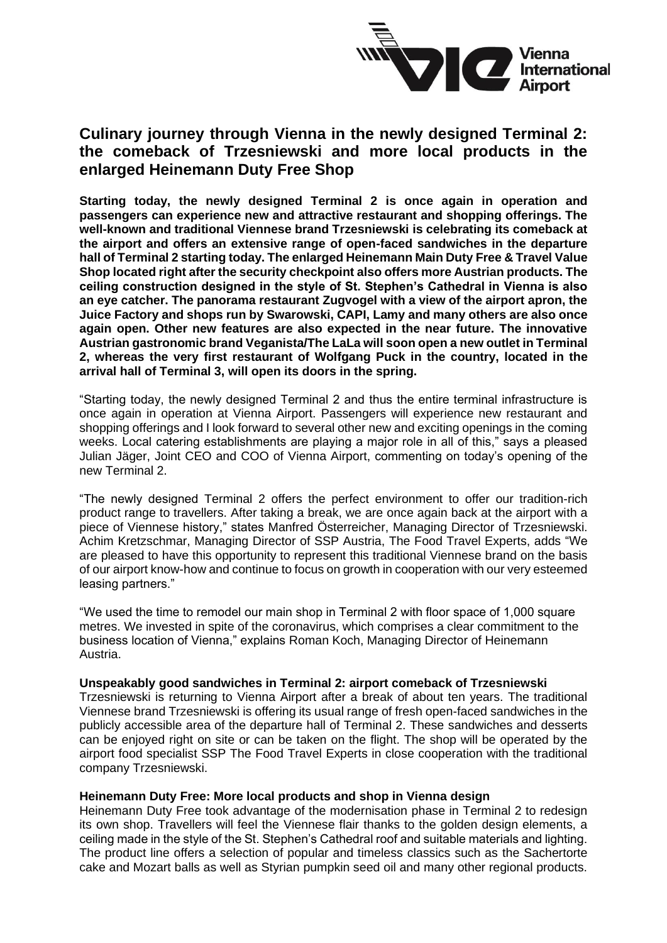

# **Culinary journey through Vienna in the newly designed Terminal 2: the comeback of Trzesniewski and more local products in the enlarged Heinemann Duty Free Shop**

**Starting today, the newly designed Terminal 2 is once again in operation and passengers can experience new and attractive restaurant and shopping offerings. The well-known and traditional Viennese brand Trzesniewski is celebrating its comeback at the airport and offers an extensive range of open-faced sandwiches in the departure hall of Terminal 2 starting today. The enlarged Heinemann Main Duty Free & Travel Value Shop located right after the security checkpoint also offers more Austrian products. The ceiling construction designed in the style of St. Stephen's Cathedral in Vienna is also an eye catcher. The panorama restaurant Zugvogel with a view of the airport apron, the Juice Factory and shops run by Swarowski, CAPI, Lamy and many others are also once again open. Other new features are also expected in the near future. The innovative Austrian gastronomic brand Veganista/The LaLa will soon open a new outlet in Terminal 2, whereas the very first restaurant of Wolfgang Puck in the country, located in the arrival hall of Terminal 3, will open its doors in the spring.** 

"Starting today, the newly designed Terminal 2 and thus the entire terminal infrastructure is once again in operation at Vienna Airport. Passengers will experience new restaurant and shopping offerings and I look forward to several other new and exciting openings in the coming weeks. Local catering establishments are playing a major role in all of this," says a pleased Julian Jäger, Joint CEO and COO of Vienna Airport, commenting on today's opening of the new Terminal 2.

"The newly designed Terminal 2 offers the perfect environment to offer our tradition-rich product range to travellers. After taking a break, we are once again back at the airport with a piece of Viennese history," states Manfred Österreicher, Managing Director of Trzesniewski. Achim Kretzschmar, Managing Director of SSP Austria, The Food Travel Experts, adds "We are pleased to have this opportunity to represent this traditional Viennese brand on the basis of our airport know-how and continue to focus on growth in cooperation with our very esteemed leasing partners."

"We used the time to remodel our main shop in Terminal 2 with floor space of 1,000 square metres. We invested in spite of the coronavirus, which comprises a clear commitment to the business location of Vienna," explains Roman Koch, Managing Director of Heinemann Austria.

## **Unspeakably good sandwiches in Terminal 2: airport comeback of Trzesniewski**

Trzesniewski is returning to Vienna Airport after a break of about ten years. The traditional Viennese brand Trzesniewski is offering its usual range of fresh open-faced sandwiches in the publicly accessible area of the departure hall of Terminal 2. These sandwiches and desserts can be enjoyed right on site or can be taken on the flight. The shop will be operated by the airport food specialist SSP The Food Travel Experts in close cooperation with the traditional company Trzesniewski.

## **Heinemann Duty Free: More local products and shop in Vienna design**

Heinemann Duty Free took advantage of the modernisation phase in Terminal 2 to redesign its own shop. Travellers will feel the Viennese flair thanks to the golden design elements, a ceiling made in the style of the St. Stephen's Cathedral roof and suitable materials and lighting. The product line offers a selection of popular and timeless classics such as the Sachertorte cake and Mozart balls as well as Styrian pumpkin seed oil and many other regional products.